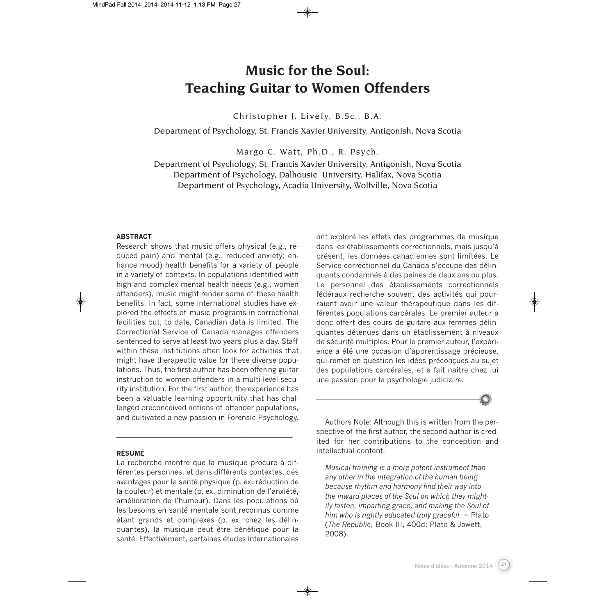# **Music for the Soul: Teaching Guitar to Women Offenders**

Christopher J. Lively, B.Sc., B.A.

Department of Psychology, St. Francis Xavier University, Antigonish, Nova Scotia

Margo C. Watt, Ph.D., R. Psych.

Department of Psychology, St. Francis Xavier University, Antigonish, Nova Scotia Department of Psychology, Dalhousie University, Halifax, Nova Scotia Department of Psychology, Acadia University, Wolfville, Nova Scotia

#### **ABSTRACT**

Research shows that music offers physical (e.g., reduced pain) and mental (e.g., reduced anxiety; enhance mood) health benefits for a variety of people in a variety of contexts. In populations identified with high and complex mental health needs (e.g., women offenders), music might render some of these health benefits. In fact, some international studies have explored the effects of music programs in correctional facilities but, to date, Canadian data is limited. The Correctional Service of Canada manages offenders sentenced to serve at least two years plus a day. Staff within these institutions often look for activities that might have therapeutic value for these diverse populations. Thus, the first author has been offering guitar instruction to women offenders in a multi-level security institution. For the first author, the experience has been a valuable learning opportunity that has challenged preconceived notions of offender populations, and cultivated a new passion in Forensic Psychology.

#### **RÉSUMÉ**

La recherche montre que la musique procure à différentes personnes, et dans différents contextes, des avantages pour la santé physique (p. ex. réduction de la douleur) et mentale (p. ex. diminution de l'anxiété, amélioration de l'humeur). Dans les populations où les besoins en santé mentale sont reconnus comme étant grands et complexes (p. ex. chez les délinquantes), la musique peut être bénéfique pour la santé. Effectivement, certaines études internationales

\_\_\_\_\_\_\_\_\_\_\_\_\_\_\_\_\_\_\_\_\_\_\_\_\_\_\_\_\_\_\_\_\_\_\_\_\_\_\_\_\_\_\_\_\_\_\_\_\_\_\_\_\_\_

ont exploré les effets des programmes de musique dans les établissements correctionnels, mais jusqu'à présent, les données canadiennes sont limitées. Le Service correctionnel du Canada s'occupe des délinquants condamnés à des peines de deux ans ou plus. Le personnel des établissements correctionnels fédéraux recherche souvent des activités qui pourraient avoir une valeur thérapeutique dans les différentes populations carcérales. Le premier auteur a donc offert des cours de guitare aux femmes délinquantes détenues dans un établissement à niveaux de sécurité multiples. Pour le premier auteur, l'expérience a été une occasion d'apprentissage précieuse, qui remet en question les idées préconçues au sujet des populations carcérales, et a fait naître chez lui une passion pour la psychologie judiciaire.



Authors Note: Although this is written from the perspective of the first author, the second author is credited for her contributions to the conception and intellectual content.

*Musical training is a more potent instrument than any other in the integration of the human being because rhythm and harmony find their way into the inward places of the Soul on which they mightily fasten, imparting grace, and making the Soul of him who is rightly educated truly graceful.* ~ Plato (*The Republic*, Book III, 400d; Plato & Jowett, 2008).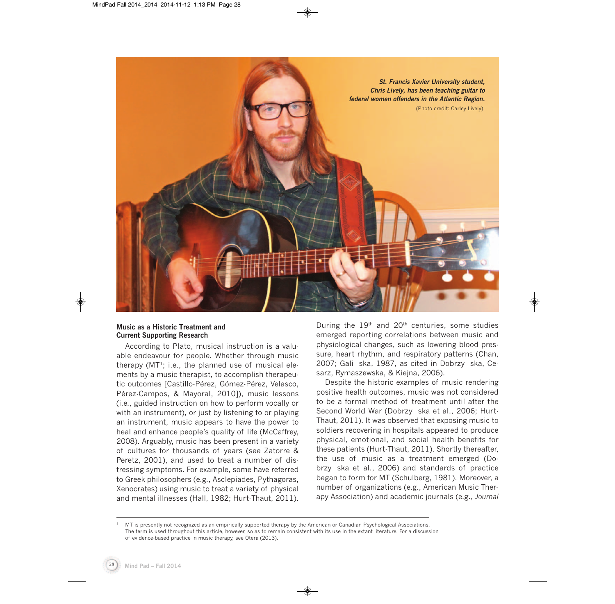

### **Music as a Historic Treatment and Current Supporting Research**

According to Plato, musical instruction is a valuable endeavour for people. Whether through music therapy  $(MT<sup>1</sup>; i.e., the planned use of musical ele$ ments by a music therapist, to accomplish therapeutic outcomes [Castillo-Pérez, Gómez-Pérez, Velasco, Pérez-Campos, & Mayoral, 2010]), music lessons (i.e., guided instruction on how to perform vocally or with an instrument), or just by listening to or playing an instrument, music appears to have the power to heal and enhance people's quality of life (McCaffrey, 2008). Arguably, music has been present in a variety of cultures for thousands of years (see Zatorre & Peretz, 2001), and used to treat a number of distressing symptoms. For example, some have referred to Greek philosophers (e.g., Asclepiades, Pythagoras, Xenocrates) using music to treat a variety of physical and mental illnesses (Hall, 1982; Hurt-Thaut, 2011). During the  $19<sup>th</sup>$  and  $20<sup>th</sup>$  centuries, some studies emerged reporting correlations between music and physiological changes, such as lowering blood pressure, heart rhythm, and respiratory patterns (Chan, 2007; Gali ska, 1987, as cited in Dobrzy ska, Cesarz, Rymaszewska, & Kiejna, 2006).

Despite the historic examples of music rendering positive health outcomes, music was not considered to be a formal method of treatment until after the Second World War (Dobrzy ska et al., 2006; Hurt-Thaut, 2011). It was observed that exposing music to soldiers recovering in hospitals appeared to produce physical, emotional, and social health benefits for these patients (Hurt-Thaut, 2011). Shortly thereafter, the use of music as a treatment emerged (Dobrzy ska et al., 2006) and standards of practice began to form for MT (Schulberg, 1981). Moreover, a number of organizations (e.g., American Music Therapy Association) and academic journals (e.g., *Journal*

<sup>1</sup> MT is presently not recognized as an empirically supported therapy by the American or Canadian Psychological Associations. The term is used throughout this article, however, so as to remain consistent with its use in the extant literature. For a discussion of evidence-based practice in music therapy, see Otera (2013).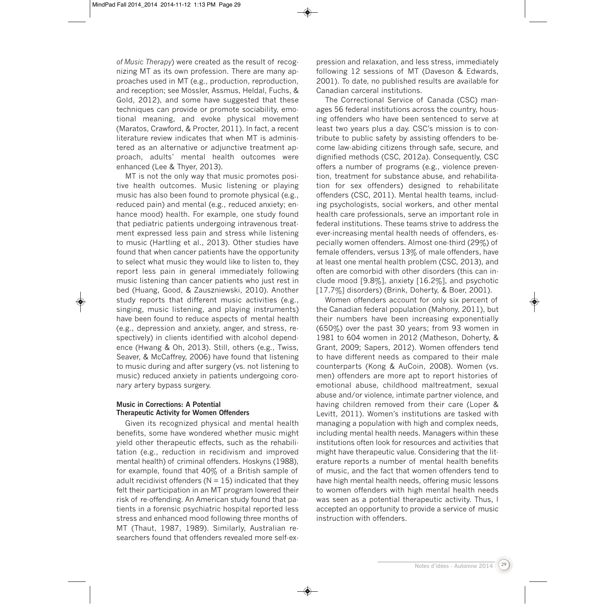*of Music Therapy*) were created as the result of recognizing MT as its own profession. There are many approaches used in MT (e.g., production, reproduction, and reception; see Mössler, Assmus, Heldal, Fuchs, & Gold, 2012), and some have suggested that these techniques can provide or promote sociability, emotional meaning, and evoke physical movement (Maratos, Crawford, & Procter, 2011). In fact, a recent literature review indicates that when MT is administered as an alternative or adjunctive treatment approach, adults' mental health outcomes were enhanced (Lee & Thyer, 2013).

MT is not the only way that music promotes positive health outcomes. Music listening or playing music has also been found to promote physical (e.g., reduced pain) and mental (e.g., reduced anxiety; enhance mood) health. For example, one study found that pediatric patients undergoing intravenous treatment expressed less pain and stress while listening to music (Hartling et al., 2013). Other studies have found that when cancer patients have the opportunity to select what music they would like to listen to, they report less pain in general immediately following music listening than cancer patients who just rest in bed (Huang, Good, & Zauszniewski, 2010). Another study reports that different music activities (e.g., singing, music listening, and playing instruments) have been found to reduce aspects of mental health (e.g., depression and anxiety, anger, and stress, respectively) in clients identified with alcohol dependence (Hwang & Oh, 2013). Still, others (e.g., Twiss, Seaver, & McCaffrey, 2006) have found that listening to music during and after surgery (vs. not listening to music) reduced anxiety in patients undergoing coronary artery bypass surgery.

### **Music in Corrections: A Potential Therapeutic Activity for Women Offenders**

Given its recognized physical and mental health benefits, some have wondered whether music might yield other therapeutic effects, such as the rehabilitation (e.g., reduction in recidivism and improved mental health) of criminal offenders. Hoskyns (1988), for example, found that 40% of a British sample of adult recidivist offenders ( $N = 15$ ) indicated that they felt their participation in an MT program lowered their risk of re-offending. An American study found that patients in a forensic psychiatric hospital reported less stress and enhanced mood following three months of MT (Thaut, 1987, 1989). Similarly, Australian researchers found that offenders revealed more self-ex-

pression and relaxation, and less stress, immediately following 12 sessions of MT (Daveson & Edwards, 2001). To date, no published results are available for Canadian carceral institutions.

The Correctional Service of Canada (CSC) manages 56 federal institutions across the country, housing offenders who have been sentenced to serve at least two years plus a day. CSC's mission is to contribute to public safety by assisting offenders to become law-abiding citizens through safe, secure, and dignified methods (CSC, 2012a). Consequently, CSC offers a number of programs (e.g., violence prevention, treatment for substance abuse, and rehabilitation for sex offenders) designed to rehabilitate offenders (CSC, 2011). Mental health teams, including psychologists, social workers, and other mental health care professionals, serve an important role in federal institutions. These teams strive to address the ever-increasing mental health needs of offenders, especially women offenders. Almost one-third (29%) of female offenders, versus 13% of male offenders, have at least one mental health problem (CSC, 2013), and often are comorbid with other disorders (this can include mood  $[9.8\%]$ , anxiety  $[16.2\%]$ , and psychotic [17.7%] disorders) (Brink, Doherty, & Boer, 2001).

Women offenders account for only six percent of the Canadian federal population (Mahony, 2011), but their numbers have been increasing exponentially (650%) over the past 30 years; from 93 women in 1981 to 604 women in 2012 (Matheson, Doherty, & Grant, 2009; Sapers, 2012). Women offenders tend to have different needs as compared to their male counterparts (Kong & AuCoin, 2008). Women (vs. men) offenders are more apt to report histories of emotional abuse, childhood maltreatment, sexual abuse and/or violence, intimate partner violence, and having children removed from their care (Loper & Levitt, 2011). Women's institutions are tasked with managing a population with high and complex needs, including mental health needs. Managers within these institutions often look for resources and activities that might have therapeutic value. Considering that the literature reports a number of mental health benefits of music, and the fact that women offenders tend to have high mental health needs, offering music lessons to women offenders with high mental health needs was seen as a potential therapeutic activity. Thus, I accepted an opportunity to provide a service of music instruction with offenders.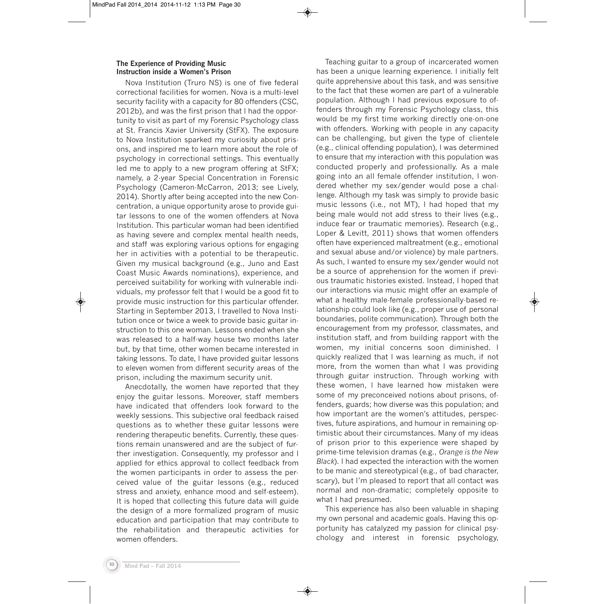## **The Experience of Providing Music Instruction inside a Women's Prison**

Nova Institution (Truro NS) is one of five federal correctional facilities for women. Nova is a multi-level security facility with a capacity for 80 offenders (CSC, 2012b), and was the first prison that I had the opportunity to visit as part of my Forensic Psychology class at St. Francis Xavier University (StFX). The exposure to Nova Institution sparked my curiosity about prisons, and inspired me to learn more about the role of psychology in correctional settings. This eventually led me to apply to a new program offering at StFX; namely, a 2-year Special Concentration in Forensic Psychology (Cameron-McCarron, 2013; see Lively, 2014). Shortly after being accepted into the new Concentration, a unique opportunity arose to provide guitar lessons to one of the women offenders at Nova Institution. This particular woman had been identified as having severe and complex mental health needs, and staff was exploring various options for engaging her in activities with a potential to be therapeutic. Given my musical background (e.g., Juno and East Coast Music Awards nominations), experience, and perceived suitability for working with vulnerable individuals, my professor felt that I would be a good fit to provide music instruction for this particular offender. Starting in September 2013, I travelled to Nova Institution once or twice a week to provide basic guitar instruction to this one woman. Lessons ended when she was released to a half-way house two months later but, by that time, other women became interested in taking lessons. To date, I have provided guitar lessons to eleven women from different security areas of the prison, including the maximum security unit.

Anecdotally, the women have reported that they enjoy the guitar lessons. Moreover, staff members have indicated that offenders look forward to the weekly sessions. This subjective oral feedback raised questions as to whether these guitar lessons were rendering therapeutic benefits. Currently, these questions remain unanswered and are the subject of further investigation. Consequently, my professor and I applied for ethics approval to collect feedback from the women participants in order to assess the perceived value of the guitar lessons (e.g., reduced stress and anxiety, enhance mood and self-esteem). It is hoped that collecting this future data will guide the design of a more formalized program of music education and participation that may contribute to the rehabilitation and therapeutic activities for women offenders.

Teaching guitar to a group of incarcerated women has been a unique learning experience. I initially felt quite apprehensive about this task, and was sensitive to the fact that these women are part of a vulnerable population. Although I had previous exposure to offenders through my Forensic Psychology class, this would be my first time working directly one-on-one with offenders. Working with people in any capacity can be challenging, but given the type of clientele (e.g., clinical offending population), I was determined to ensure that my interaction with this population was conducted properly and professionally. As a male going into an all female offender institution, I wondered whether my sex/gender would pose a challenge. Although my task was simply to provide basic music lessons (i.e., not MT), I had hoped that my being male would not add stress to their lives (e.g., induce fear or traumatic memories). Research (e.g., Loper & Levitt, 2011) shows that women offenders often have experienced maltreatment (e.g., emotional and sexual abuse and/or violence) by male partners. As such, I wanted to ensure my sex/gender would not be a source of apprehension for the women if previous traumatic histories existed. Instead, I hoped that our interactions via music might offer an example of what a healthy male-female professionally-based relationship could look like (e.g., proper use of personal boundaries, polite communication). Through both the encouragement from my professor, classmates, and institution staff, and from building rapport with the women, my initial concerns soon diminished. I quickly realized that I was learning as much, if not more, from the women than what I was providing through guitar instruction. Through working with these women, I have learned how mistaken were some of my preconceived notions about prisons, offenders, guards; how diverse was this population; and how important are the women's attitudes, perspectives, future aspirations, and humour in remaining optimistic about their circumstances. Many of my ideas of prison prior to this experience were shaped by prime-time television dramas (e.g., *Orange is the New Black*). I had expected the interaction with the women to be manic and stereotypical (e.g., of bad character, scary), but I'm pleased to report that all contact was normal and non-dramatic; completely opposite to what I had presumed.

This experience has also been valuable in shaping my own personal and academic goals. Having this opportunity has catalyzed my passion for clinical psychology and interest in forensic psychology,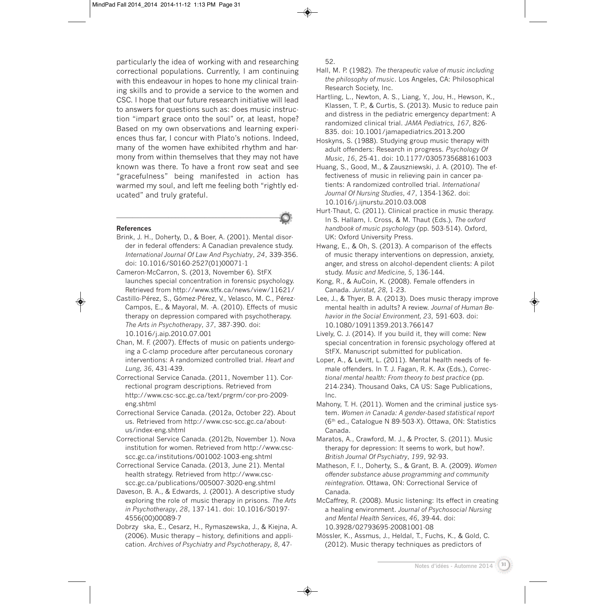particularly the idea of working with and researching correctional populations. Currently, I am continuing with this endeavour in hopes to hone my clinical training skills and to provide a service to the women and CSC. I hope that our future research initiative will lead to answers for questions such as: does music instruction "impart grace onto the soul" or, at least, hope? Based on my own observations and learning experiences thus far, I concur with Plato's notions. Indeed, many of the women have exhibited rhythm and harmony from within themselves that they may not have known was there. To have a front row seat and see "gracefulness" being manifested in action has warmed my soul, and left me feeling both "rightly educated" and truly grateful.

#### **References**

Brink, J. H., Doherty, D., & Boer, A. (2001). Mental disorder in federal offenders: A Canadian prevalence study. *International Journal Of Law And Psychiatry*, *24*, 339-356. doi: 10.1016/S0160-2527(01)00071-1

\_\_\_\_\_\_\_\_\_\_\_\_\_\_\_\_\_\_\_\_\_\_\_\_\_\_\_\_\_\_\_\_\_\_\_\_\_\_\_\_\_\_\_\_\_\_\_\_\_\_

- Cameron-McCarron, S. (2013, November 6). StFX launches special concentration in forensic psychology. Retrieved from http://www.stfx.ca/news/view/11621/
- Castillo-Pérez, S., Gómez-Pérez, V., Velasco, M. C., Pérez-Campos, E., & Mayoral, M. -A. (2010). Effects of music therapy on depression compared with psychotherapy. *The Arts in Psychotherapy*, *37*, 387-390. doi: 10.1016/j.aip.2010.07.001
- Chan, M. F. (2007). Effects of music on patients undergoing a C-clamp procedure after percutaneous coronary interventions: A randomized controlled trial. *Heart and Lung, 36,* 431-439.
- Correctional Service Canada. (2011, November 11). Correctional program descriptions. Retrieved from http://www.csc-scc.gc.ca/text/prgrm/cor-pro-2009 eng.shtml
- Correctional Service Canada. (2012a, October 22). About us. Retrieved from http://www.csc-scc.gc.ca/aboutus/index-eng.shtml
- Correctional Service Canada. (2012b, November 1). Nova institution for women. Retrieved from http://www.cscscc.gc.ca/institutions/001002-1003-eng.shtml
- Correctional Service Canada. (2013, June 21). Mental health strategy. Retrieved from http://www.cscscc.gc.ca/publications/005007-3020-eng.shtml
- Daveson, B. A., & Edwards, J. (2001). A descriptive study exploring the role of music therapy in prisons. *The Arts in Psychotherapy*, *28*, 137-141. doi: 10.1016/S0197- 4556(00)00089-7
- Dobrzy ska, E., Cesarz, H., Rymaszewska, J., & Kiejna, A. (2006). Music therapy – history, definitions and application. *Archives of Psychiatry and Psychotherapy, 8,* 47-

52.

- Hall, M. P. (1982). *The therapeutic value of music including the philosophy of music*. Los Angeles, CA: Philosophical Research Society, Inc.
- Hartling, L., Newton, A. S., Liang, Y., Jou, H., Hewson, K., Klassen, T. P., & Curtis, S. (2013). Music to reduce pain and distress in the pediatric emergency department: A randomized clinical trial. *JAMA Pediatrics, 167,* 826- 835. doi: 10.1001/jamapediatrics.2013.200
- Hoskyns, S. (1988). Studying group music therapy with adult offenders: Research in progress. *Psychology Of Music*, *16*, 25-41. doi: 10.1177/0305735688161003
- Huang, S., Good, M., & Zauszniewski, J. A. (2010). The effectiveness of music in relieving pain in cancer patients: A randomized controlled trial. *International Journal Of Nursing Studies*, *47*, 1354-1362. doi: 10.1016/j.ijnurstu.2010.03.008
- Hurt-Thaut, C. (2011). Clinical practice in music therapy. In S. Hallam, I. Cross, & M. Thaut (Eds.), *The oxford handbook of music psychology* (pp. 503-514). Oxford, UK: Oxford University Press.
- Hwang, E., & Oh, S. (2013). A comparison of the effects of music therapy interventions on depression, anxiety, anger, and stress on alcohol-dependent clients: A pilot study. *Music and Medicine, 5,* 136-144.
- Kong, R., & AuCoin, K. (2008). Female offenders in Canada. *Juristat, 28,* 1-23.
- Lee, J., & Thyer, B. A. (2013). Does music therapy improve mental health in adults? A review. *Journal of Human Behavior in the Social Environment, 23,* 591-603. doi: 10.1080/10911359.2013.766147
- Lively, C. J. (2014). If you build it, they will come: New special concentration in forensic psychology offered at StFX. Manuscript submitted for publication.
- Loper, A., & Levitt, L. (2011). Mental health needs of female offenders. In T. J. Fagan, R. K. Ax (Eds.), *Correctional mental health: From theory to best practice* (pp. 214-234). Thousand Oaks, CA US: Sage Publications, Inc.
- Mahony, T. H. (2011). Women and the criminal justice system. *Women in Canada: A gender-based statistical report* (6th ed., Catalogue N 89-503-X). Ottawa, ON: Statistics Canada.
- Maratos, A., Crawford, M. J., & Procter, S. (2011). Music therapy for depression: It seems to work, but how?. *British Journal Of Psychiatry*, *199*, 92-93.
- Matheson, F. I., Doherty, S., & Grant, B. A. (2009). *Women offender substance abuse programming and community reintegration.* Ottawa, ON: Correctional Service of Canada.
- McCaffrey, R. (2008). Music listening: Its effect in creating a healing environment. *Journal of Psychosocial Nursing and Mental Health Services, 46,* 39-44. doi: 10.3928/02793695-20081001-08
- Mössler, K., Assmus, J., Heldal, T., Fuchs, K., & Gold, C. (2012). Music therapy techniques as predictors of